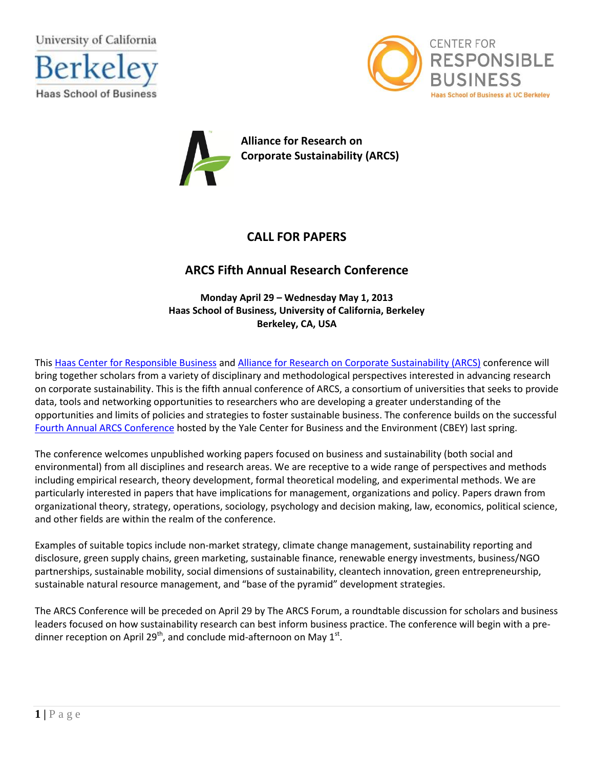

**Haas School of Business** 





# **CALL FOR PAPERS**

# **ARCS Fifth Annual Research Conference**

**Monday April 29 – Wednesday May 1, 2013 Haas School of Business, University of California, Berkeley Berkeley, CA, USA**

This [Haas Center for Responsible Business](http://responsiblebusiness.haas.berkeley.edu/index.html) and [Alliance for Research on Corporate Sustainability \(ARCS\)](http://www.corporate-sustainability.org/) conference will bring together scholars from a variety of disciplinary and methodological perspectives interested in advancing research on corporate sustainability. This is the fifth annual conference of ARCS, a consortium of universities that seeks to provide data, tools and networking opportunities to researchers who are developing a greater understanding of the opportunities and limits of policies and strategies to foster sustainable business. The conference builds on the successful Fourth Annual [ARCS Conference](http://www.corporate-sustainability.org/conferences/fourth-annual-research-conference/) hosted by the Yale Center for Business and the Environment (CBEY) last spring.

The conference welcomes unpublished working papers focused on business and sustainability (both social and environmental) from all disciplines and research areas. We are receptive to a wide range of perspectives and methods including empirical research, theory development, formal theoretical modeling, and experimental methods. We are particularly interested in papers that have implications for management, organizations and policy. Papers drawn from organizational theory, strategy, operations, sociology, psychology and decision making, law, economics, political science, and other fields are within the realm of the conference.

Examples of suitable topics include non-market strategy, climate change management, sustainability reporting and disclosure, green supply chains, green marketing, sustainable finance, renewable energy investments, business/NGO partnerships, sustainable mobility, social dimensions of sustainability, cleantech innovation, green entrepreneurship, sustainable natural resource management, and "base of the pyramid" development strategies.

The ARCS Conference will be preceded on April 29 by The ARCS Forum, a roundtable discussion for scholars and business leaders focused on how sustainability research can best inform business practice. The conference will begin with a predinner reception on April 29<sup>th</sup>, and conclude mid-afternoon on May 1<sup>st</sup>.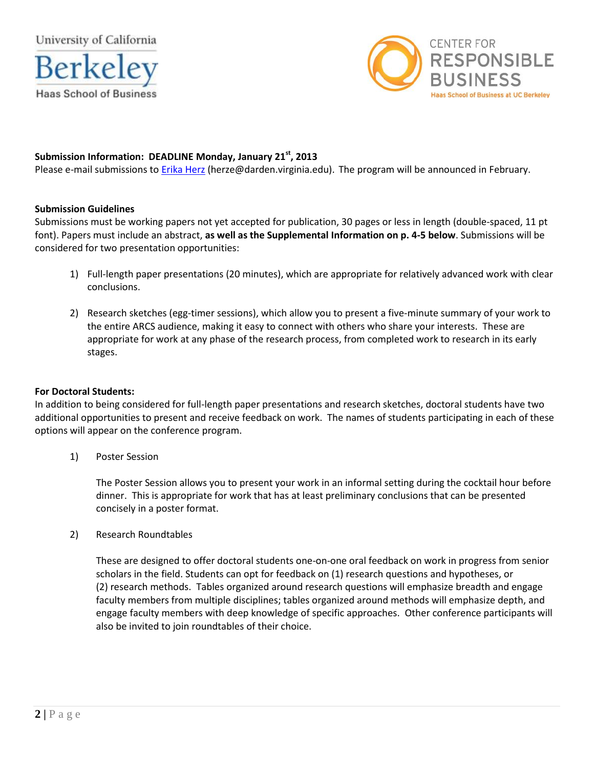



# **Submission Information: DEADLINE Monday, January 21st, 2013**

Please e-mail submissions to [Erika Herz](mailto:herze@darden.virginia.edu) (herze@darden.virginia.edu). The program will be announced in February.

## **Submission Guidelines**

Submissions must be working papers not yet accepted for publication, 30 pages or less in length (double-spaced, 11 pt font). Papers must include an abstract, **as well as the Supplemental Information on p. 4-5 below**. Submissions will be considered for two presentation opportunities:

- 1) Full-length paper presentations (20 minutes), which are appropriate for relatively advanced work with clear conclusions.
- 2) Research sketches (egg-timer sessions), which allow you to present a five-minute summary of your work to the entire ARCS audience, making it easy to connect with others who share your interests. These are appropriate for work at any phase of the research process, from completed work to research in its early stages.

## **For Doctoral Students:**

In addition to being considered for full-length paper presentations and research sketches, doctoral students have two additional opportunities to present and receive feedback on work. The names of students participating in each of these options will appear on the conference program.

1) Poster Session

The Poster Session allows you to present your work in an informal setting during the cocktail hour before dinner. This is appropriate for work that has at least preliminary conclusions that can be presented concisely in a poster format.

2) Research Roundtables

These are designed to offer doctoral students one-on-one oral feedback on work in progress from senior scholars in the field. Students can opt for feedback on (1) research questions and hypotheses, or (2) research methods. Tables organized around research questions will emphasize breadth and engage faculty members from multiple disciplines; tables organized around methods will emphasize depth, and engage faculty members with deep knowledge of specific approaches. Other conference participants will also be invited to join roundtables of their choice.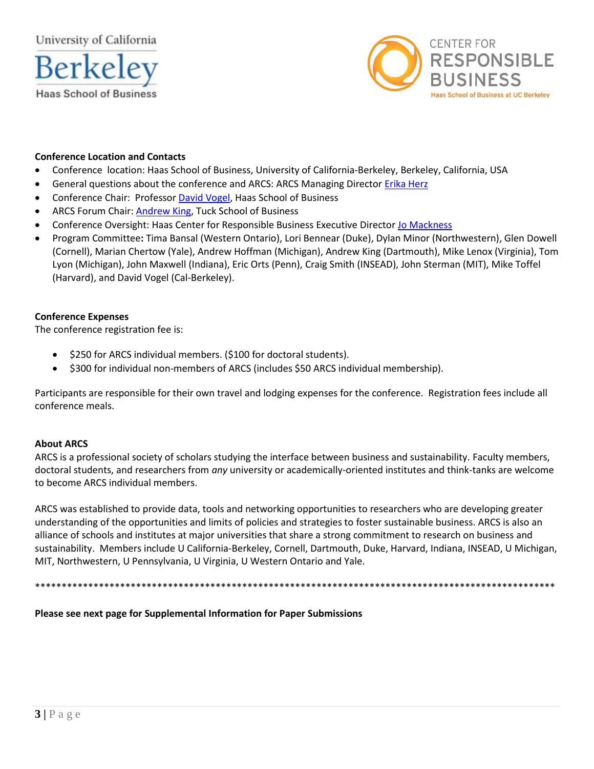University of California





## **Conference Location and Contacts**

- Conference location: Haas School of Business, University of California-Berkeley, Berkeley, California, USA  $\bullet$
- General questions about the conference and ARCS: ARCS Managing Director Erika Herz
- Conference Chair: Professor David Vogel, Haas School of Business
- ARCS Forum Chair: Andrew King, Tuck School of Business
- Conference Oversight: Haas Center for Responsible Business Executive Director Jo Mackness
- Program Committee: Tima Bansal (Western Ontario), Lori Bennear (Duke), Dylan Minor (Northwestern), Glen Dowell (Cornell), Marian Chertow (Yale), Andrew Hoffman (Michigan), Andrew King (Dartmouth), Mike Lenox (Virginia), Tom Lyon (Michigan), John Maxwell (Indiana), Eric Orts (Penn), Craig Smith (INSEAD), John Sterman (MIT), Mike Toffel (Harvard), and David Vogel (Cal-Berkeley).

## **Conference Expenses**

The conference registration fee is:

- \$250 for ARCS individual members. (\$100 for doctoral students).  $\bullet$
- \$300 for individual non-members of ARCS (includes \$50 ARCS individual membership).

Participants are responsible for their own travel and lodging expenses for the conference. Registration fees include all conference meals.

## **About ARCS**

ARCS is a professional society of scholars studying the interface between business and sustainability. Faculty members, doctoral students, and researchers from any university or academically-oriented institutes and think-tanks are welcome to become ARCS individual members.

ARCS was established to provide data, tools and networking opportunities to researchers who are developing greater understanding of the opportunities and limits of policies and strategies to foster sustainable business. ARCS is also an alliance of schools and institutes at major universities that share a strong commitment to research on business and sustainability. Members include U California-Berkeley, Cornell, Dartmouth, Duke, Harvard, Indiana, INSEAD, U Michigan, MIT, Northwestern, U Pennsylvania, U Virginia, U Western Ontario and Yale.

Please see next page for Supplemental Information for Paper Submissions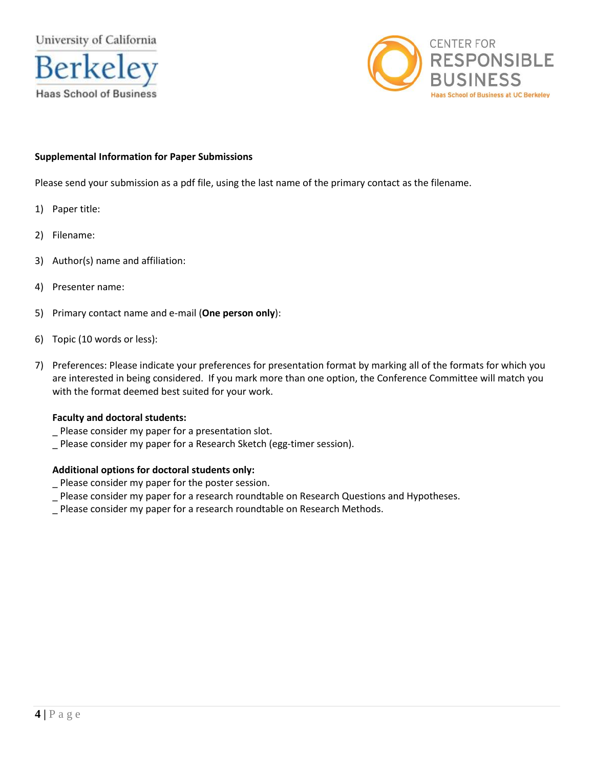



# **Supplemental Information for Paper Submissions**

Please send your submission as a pdf file, using the last name of the primary contact as the filename.

- 1) Paper title:
- 2) Filename:
- 3) Author(s) name and affiliation:
- 4) Presenter name:
- 5) Primary contact name and e-mail (**One person only**):
- 6) Topic (10 words or less):
- 7) Preferences: Please indicate your preferences for presentation format by marking all of the formats for which you are interested in being considered. If you mark more than one option, the Conference Committee will match you with the format deemed best suited for your work.

## **Faculty and doctoral students:**

- \_ Please consider my paper for a presentation slot.
- \_ Please consider my paper for a Research Sketch (egg-timer session).

## **Additional options for doctoral students only:**

- \_ Please consider my paper for the poster session.
- \_ Please consider my paper for a research roundtable on Research Questions and Hypotheses.
- \_ Please consider my paper for a research roundtable on Research Methods.